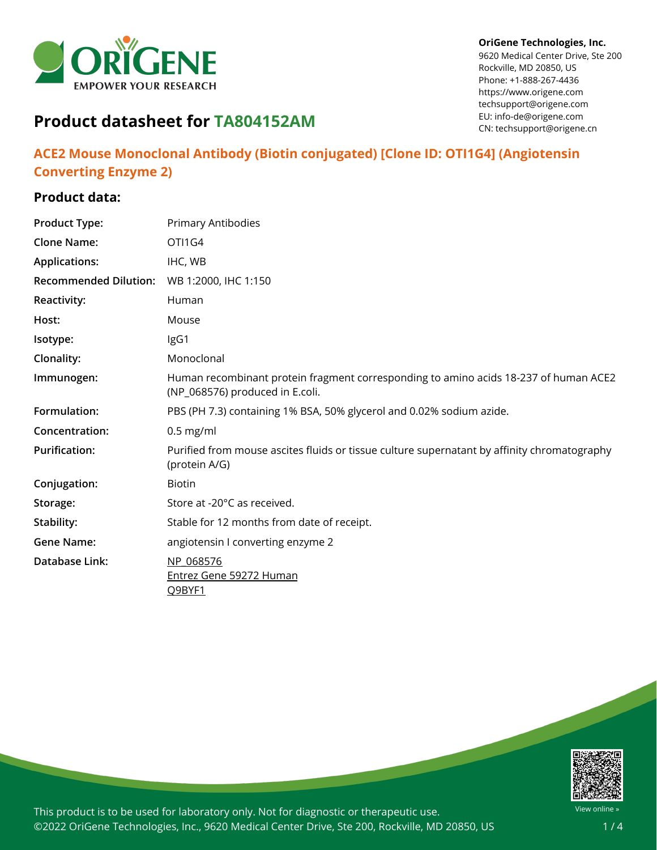

#### **OriGene Technologies, Inc.**

9620 Medical Center Drive, Ste 200 Rockville, MD 20850, US Phone: +1-888-267-4436 https://www.origene.com techsupport@origene.com EU: info-de@origene.com CN: techsupport@origene.cn

# **Product datasheet for TA804152AM**

## **ACE2 Mouse Monoclonal Antibody (Biotin conjugated) [Clone ID: OTI1G4] (Angiotensin Converting Enzyme 2)**

## **Product data:**

| <b>Product Type:</b>         | Primary Antibodies                                                                                                      |
|------------------------------|-------------------------------------------------------------------------------------------------------------------------|
| <b>Clone Name:</b>           | OTI1G4                                                                                                                  |
| <b>Applications:</b>         | IHC, WB                                                                                                                 |
| <b>Recommended Dilution:</b> | WB 1:2000, IHC 1:150                                                                                                    |
| Reactivity:                  | Human                                                                                                                   |
| Host:                        | Mouse                                                                                                                   |
| Isotype:                     | IgG1                                                                                                                    |
| Clonality:                   | Monoclonal                                                                                                              |
| Immunogen:                   | Human recombinant protein fragment corresponding to amino acids 18-237 of human ACE2<br>(NP_068576) produced in E.coli. |
| Formulation:                 | PBS (PH 7.3) containing 1% BSA, 50% glycerol and 0.02% sodium azide.                                                    |
| Concentration:               | $0.5$ mg/ml                                                                                                             |
| <b>Purification:</b>         | Purified from mouse ascites fluids or tissue culture supernatant by affinity chromatography<br>(protein A/G)            |
| Conjugation:                 | <b>Biotin</b>                                                                                                           |
| Storage:                     | Store at -20°C as received.                                                                                             |
| Stability:                   | Stable for 12 months from date of receipt.                                                                              |
| <b>Gene Name:</b>            | angiotensin I converting enzyme 2                                                                                       |
| Database Link:               | NP 068576                                                                                                               |
|                              | Entrez Gene 59272 Human<br>Q9BYF1                                                                                       |

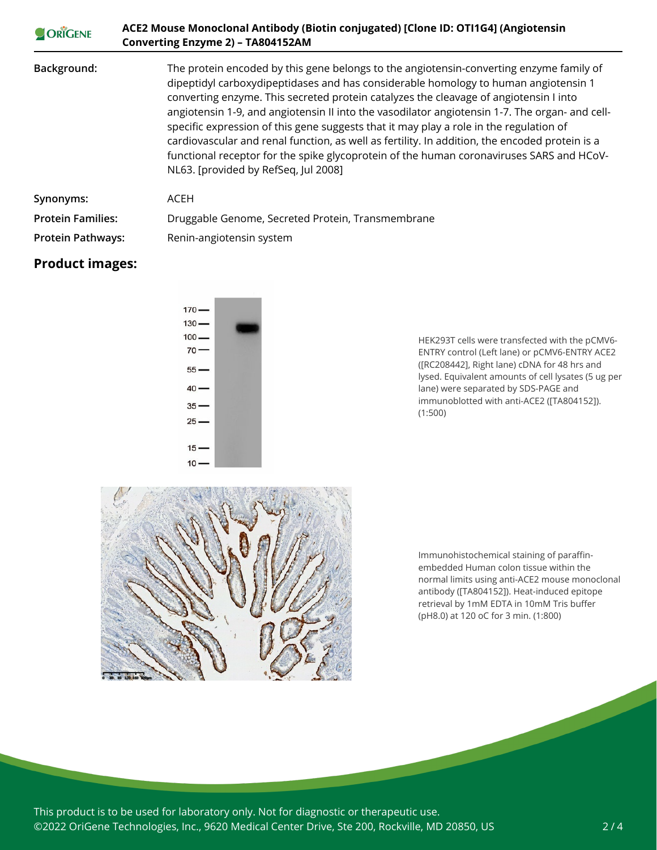| ORIGENE                  | ACE2 Mouse Monoclonal Antibody (Biotin conjugated) [Clone ID: OTI1G4] (Angiotensin<br>Converting Enzyme 2) - TA804152AM                                                                                                                                                                                                                                                                                                                                                                                                                                                                                                                                                                                   |
|--------------------------|-----------------------------------------------------------------------------------------------------------------------------------------------------------------------------------------------------------------------------------------------------------------------------------------------------------------------------------------------------------------------------------------------------------------------------------------------------------------------------------------------------------------------------------------------------------------------------------------------------------------------------------------------------------------------------------------------------------|
| Background:              | The protein encoded by this gene belongs to the angiotensin-converting enzyme family of<br>dipeptidyl carboxydipeptidases and has considerable homology to human angiotensin 1<br>converting enzyme. This secreted protein catalyzes the cleavage of angiotensin I into<br>angiotensin 1-9, and angiotensin II into the vasodilator angiotensin 1-7. The organ- and cell-<br>specific expression of this gene suggests that it may play a role in the regulation of<br>cardiovascular and renal function, as well as fertility. In addition, the encoded protein is a<br>functional receptor for the spike glycoprotein of the human coronaviruses SARS and HCoV-<br>NL63. [provided by RefSeq, Jul 2008] |
| Synonyms:                | ACEH                                                                                                                                                                                                                                                                                                                                                                                                                                                                                                                                                                                                                                                                                                      |
| <b>Protein Families:</b> | Druggable Genome, Secreted Protein, Transmembrane                                                                                                                                                                                                                                                                                                                                                                                                                                                                                                                                                                                                                                                         |
| <b>Protein Pathways:</b> | Renin-angiotensin system                                                                                                                                                                                                                                                                                                                                                                                                                                                                                                                                                                                                                                                                                  |

### **Product images:**



HEK293T cells were transfected with the pCMV6- ENTRY control (Left lane) or pCMV6-ENTRY ACE2 ([RC208442], Right lane) cDNA for 48 hrs and lysed. Equivalent amounts of cell lysates (5 ug per lane) were separated by SDS-PAGE and immunoblotted with anti-ACE2 ([TA804152]). (1:500)



Immunohistochemical staining of paraffinembedded Human colon tissue within the normal limits using anti-ACE2 mouse monoclonal antibody ([TA804152]). Heat-induced epitope retrieval by 1mM EDTA in 10mM Tris buffer (pH8.0) at 120 oC for 3 min. (1:800)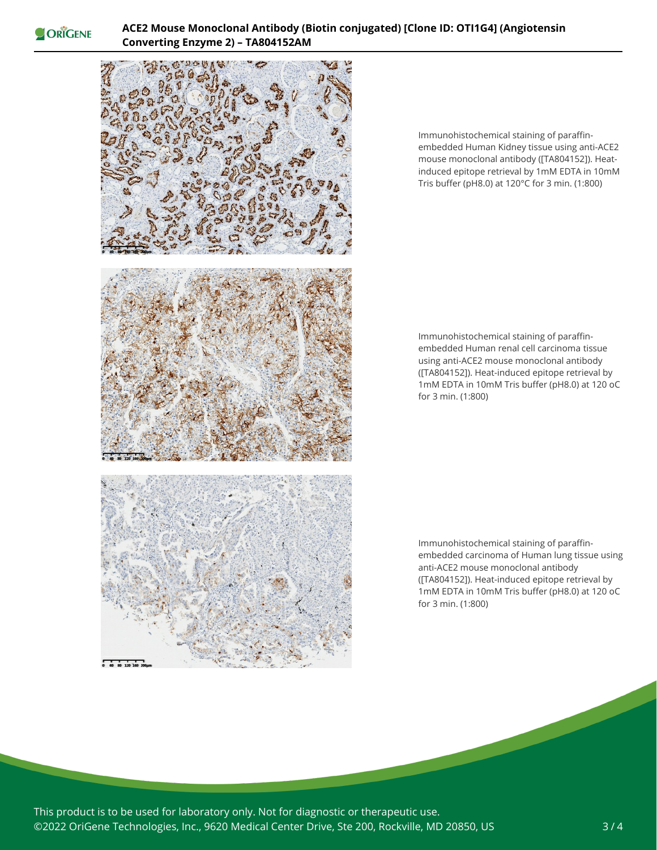ORIGENE



Immunohistochemical staining of paraffinembedded Human Kidney tissue using anti-ACE2 mouse monoclonal antibody ([TA804152]). Heatinduced epitope retrieval by 1mM EDTA in 10mM Tris buffer (pH8.0) at 120°C for 3 min. (1:800)

Immunohistochemical staining of paraffinembedded Human renal cell carcinoma tissue using anti-ACE2 mouse monoclonal antibody ([TA804152]). Heat-induced epitope retrieval by 1mM EDTA in 10mM Tris buffer (pH8.0) at 120 oC for 3 min. (1:800)

Immunohistochemical staining of paraffinembedded carcinoma of Human lung tissue using anti-ACE2 mouse monoclonal antibody ([TA804152]). Heat-induced epitope retrieval by 1mM EDTA in 10mM Tris buffer (pH8.0) at 120 oC for 3 min. (1:800)